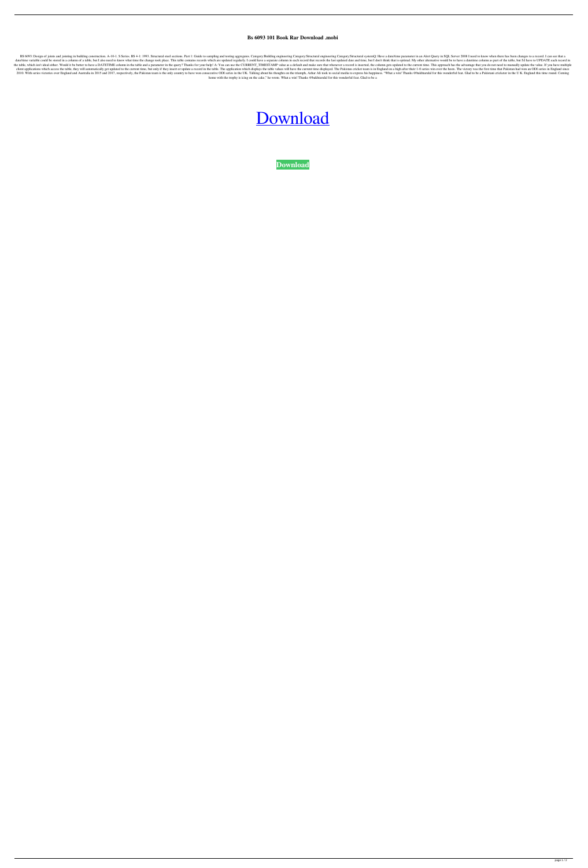## **Bs 6093 101 Book Rar Download .mobi**

BS 6093: Design of joints and jointing in building construction. A-10-1. S Series. BS 4-1: 1993. Structural steel sections. Part 1: Guide to sampling and testing aggregates. Category: Structural engineering Category: Struc date/time variable could be stored in a column of a table, but I also need to know what time the change took place. This table contains records which are updated regularly. I could have a separate column in each records th the table, which isn't ideal either. Would it be better to have a DATETIME column in the table and a parameter in the query? Thanks for your help! A: You can use the CURRENT\_TIMESTAMP value as a default and make sure that client applications which access the table, they will automatically get updated to the current time, but only if they insert or update a record in the table. The application which displays the table values will have the cu 2010. With series victories over England and Australia in 2015 and 2017, respectively, the Pakistan team is the only country to have won consecutive ODI series in the UK. Talking about his thoughts on the triumph, Azhar Al home with the trophy is icing on the cake," he wrote. What a win! Thanks @bakhtarulal for this wonderful feat. Glad to be a

## [Download](http://evacdir.com/ZG93bmxvYWR8bGk0WlhrNGZId3hOalV5TnpRd09EWTJmSHd5TlRjMGZId29UU2tnY21WaFpDMWliRzluSUZ0R1lYTjBJRWRGVGww/makings/banquets&fuselage=personality&transact=pretreatment&unaccented=YnMgNjA5MyBwZGYgZnJlZSAxMDEYnM)

**[Download](http://evacdir.com/ZG93bmxvYWR8bGk0WlhrNGZId3hOalV5TnpRd09EWTJmSHd5TlRjMGZId29UU2tnY21WaFpDMWliRzluSUZ0R1lYTjBJRWRGVGww/makings/banquets&fuselage=personality&transact=pretreatment&unaccented=YnMgNjA5MyBwZGYgZnJlZSAxMDEYnM)**